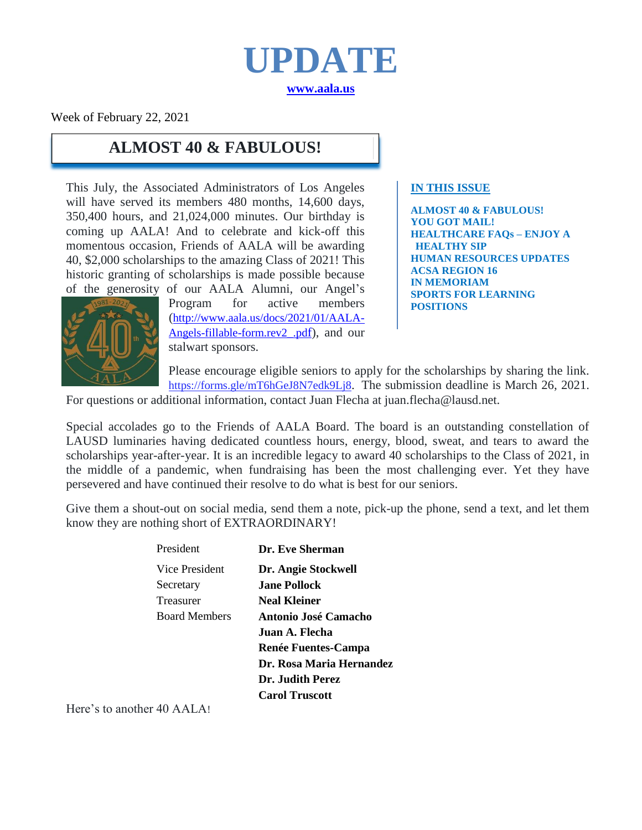

Week of February 22, 2021

## **ALMOST 40 & FABULOUS!**

This July, the Associated Administrators of Los Angeles will have served its members 480 months, 14,600 days, 350,400 hours, and 21,024,000 minutes. Our birthday is coming up AALA! And to celebrate and kick-off this momentous occasion, Friends of AALA will be awarding 40, \$2,000 scholarships to the amazing Class of 2021! This historic granting of scholarships is made possible because of the generosity of our AALA Alumni, our Angel's

Program for active members ([http://www.aala.us/docs/2021/01/AALA-](http://www.aala.us/docs/2021/01/AALA-Angels-fillable-form.rev2_.pdf)[Angels-fillable-form.rev2\\_.pd](http://www.aala.us/docs/2021/01/AALA-Angels-fillable-form.rev2_.pdf)f), and our stalwart sponsors.

#### **IN THIS ISSUE**

**ALMOST 40 & FABULOUS! YOU GOT MAIL! HEALTHCARE FAQs – ENJOY A HEALTHY SIP HUMAN RESOURCES UPDATES ACSA REGION 16 IN MEMORIAM SPORTS FOR LEARNING POSITIONS**



Please encourage eligible seniors to apply for the scholarships by sharing the link. [https://forms.gle/mT6hGeJ8N7edk9Lj8.](https://forms.gle/mT6hGeJ8N7edk9Lj8) The submission deadline is March 26, 2021.

For questions or additional information, contact Juan Flecha at juan.flecha@lausd.net.

Special accolades go to the Friends of AALA Board. The board is an outstanding constellation of LAUSD luminaries having dedicated countless hours, energy, blood, sweat, and tears to award the scholarships year-after-year. It is an incredible legacy to award 40 scholarships to the Class of 2021, in the middle of a pandemic, when fundraising has been the most challenging ever. Yet they have persevered and have continued their resolve to do what is best for our seniors.

Give them a shout-out on social media, send them a note, pick-up the phone, send a text, and let them know they are nothing short of EXTRAORDINARY!

| President            | Dr. Eve Sherman            |
|----------------------|----------------------------|
| Vice President       | Dr. Angie Stockwell        |
| Secretary            | <b>Jane Pollock</b>        |
| Treasurer            | <b>Neal Kleiner</b>        |
| <b>Board Members</b> | Antonio José Camacho       |
|                      | Juan A. Flecha             |
|                      | <b>Renée Fuentes-Campa</b> |
|                      | Dr. Rosa Maria Hernandez   |
|                      | Dr. Judith Perez           |
|                      | <b>Carol Truscott</b>      |
|                      |                            |

Here's to another 40 AALA!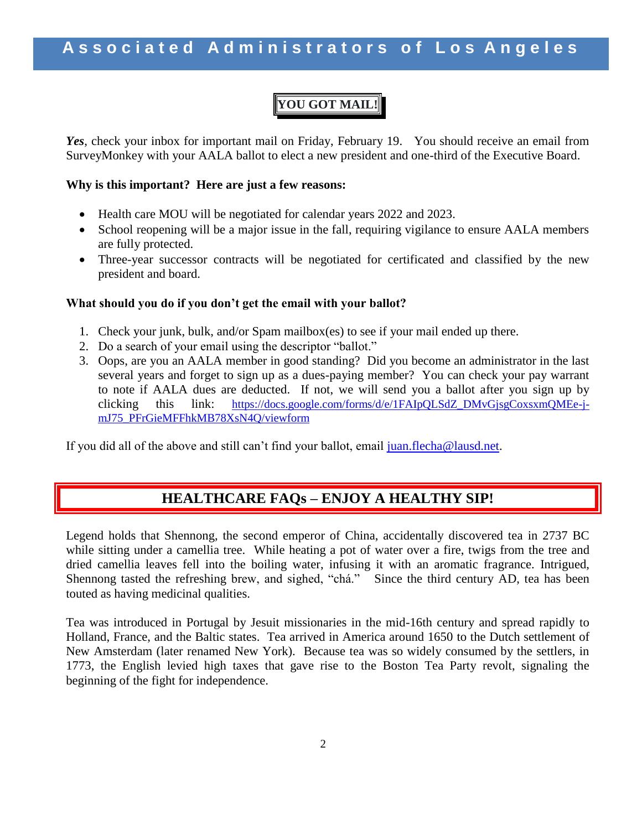## **YOU GOT MAIL!**

*Yes*, check your inbox for important mail on Friday, February 19. You should receive an email from SurveyMonkey with your AALA ballot to elect a new president and one-third of the Executive Board.

### **Why is this important? Here are just a few reasons:**

- Health care MOU will be negotiated for calendar years 2022 and 2023.
- School reopening will be a major issue in the fall, requiring vigilance to ensure AALA members are fully protected.
- Three-year successor contracts will be negotiated for certificated and classified by the new president and board.

#### **What should you do if you don't get the email with your ballot?**

- 1. Check your junk, bulk, and/or Spam mailbox(es) to see if your mail ended up there.
- 2. Do a search of your email using the descriptor "ballot."
- 3. Oops, are you an AALA member in good standing? Did you become an administrator in the last several years and forget to sign up as a dues-paying member? You can check your pay warrant to note if AALA dues are deducted. If not, we will send you a ballot after you sign up by clicking this link: [https://docs.google.com/forms/d/e/1FAIpQLSdZ\\_DMvGjsgCoxsxmQMEe-j](https://docs.google.com/forms/d/e/1FAIpQLSdZ_DMvGjsgCoxsxmQMEe-j-mJ75_PFrGieMFFhkMB78XsN4Q/viewform)[mJ75\\_PFrGieMFFhkMB78XsN4Q/viewform](https://docs.google.com/forms/d/e/1FAIpQLSdZ_DMvGjsgCoxsxmQMEe-j-mJ75_PFrGieMFFhkMB78XsN4Q/viewform)

If you did all of the above and still can't find your ballot, email [juan.flecha@lausd.net.](mailto:juan.flecha@lausd.net)

### **HEALTHCARE FAQs – ENJOY A HEALTHY SIP!**

Legend holds that Shennong, the second emperor of China, accidentally discovered tea in 2737 BC while sitting under a camellia tree. While heating a pot of water over a fire, twigs from the tree and dried camellia leaves fell into the boiling water, infusing it with an aromatic fragrance. Intrigued, Shennong tasted the refreshing brew, and sighed, "chá." Since the third century AD, tea has been touted as having medicinal qualities.

Tea was introduced in Portugal by Jesuit missionaries in the mid-16th century and spread rapidly to Holland, France, and the Baltic states. Tea arrived in America around 1650 to the Dutch settlement of New Amsterdam (later renamed New York). Because tea was so widely consumed by the settlers, in 1773, the English levied high taxes that gave rise to the Boston Tea Party revolt, signaling the beginning of the fight for independence.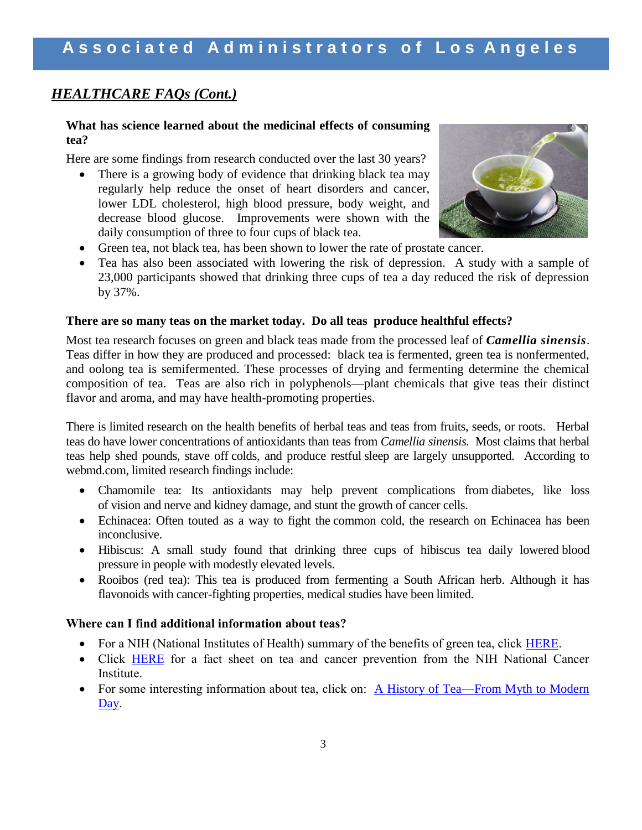### *HEALTHCARE FAQs (Cont.)*

#### **What has science learned about the medicinal effects of consuming tea?**

Here are some findings from research conducted over the last 30 years?

• There is a growing body of evidence that drinking black tea may regularly help reduce the onset of heart disorders and cancer, lower LDL cholesterol, high blood pressure, body weight, and decrease blood glucose. Improvements were shown with the daily consumption of three to four cups of black tea.



- Green tea, not black tea, has been shown to lower the rate of prostate cancer.
- Tea has also been associated with lowering the risk of depression. A study with a sample of 23,000 participants showed that drinking three cups of tea a day reduced the risk of depression by 37%.

#### **There are so many teas on the market today. Do all teas produce healthful effects?**

Most tea research focuses on green and black teas made from the processed leaf of *Camellia sinensis*. Teas differ in how they are produced and processed: black tea is fermented, green tea is nonfermented, and oolong tea is semifermented. These processes of drying and fermenting determine the chemical composition of tea. Teas are also rich in polyphenols—plant chemicals that give teas their distinct flavor and aroma, and may have health-promoting properties.

There is limited research on the health benefits of herbal teas and teas from fruits, seeds, or roots. Herbal teas do have lower concentrations of antioxidants than teas from *Camellia sinensis.* Most claims that herbal teas help shed pounds, stave off colds, and produce restful [sleep](http://www.webmd.com/sleep-disorders/default.htm) are largely unsupported. According to webmd.com, limited research findings include:

- Chamomile tea: Its antioxidants may help prevent complications from [diabetes,](http://www.webmd.com/diabetes/diabetes-health-check/default.htm) like loss of [vision](http://www.webmd.com/eye-health/default.htm) and nerve and [kidney](http://www.webmd.com/urinary-incontinence-oab/picture-of-the-kidneys) damage, and stunt the growth of cancer cells.
- Echinacea: Often touted as a way to fight the [common cold,](http://www.webmd.com/cold-and-flu/default.htm) the research on Echinacea has been inconclusive.
- Hibiscus: A small study found that drinking three cups of hibiscus tea daily lowered [blood](http://www.webmd.com/hypertension-high-blood-pressure/guide/diastolic-and-systolic-blood-pressure-know-your-numbers)  [pressure](http://www.webmd.com/hypertension-high-blood-pressure/guide/diastolic-and-systolic-blood-pressure-know-your-numbers) in people with modestly elevated levels.
- Rooibos (red tea): This tea is produced from fermenting a South African herb. Although it has flavonoids with cancer-fighting properties, medical studies have been limited.

### **Where can I find additional information about teas?**

- For a NIH (National Institutes of Health) summary of the benefits of green tea, click [HERE.](https://www.nccih.nih.gov/health/tea)
- Click [HERE](https://www.cancer.gov/about-cancer/causes-prevention/risk/diet/tea-fact-sheet) for a fact sheet on tea and cancer prevention from the NIH National Cancer Institute.
- For some interesting information about tea, click on: A History of Tea—From Myth to Modern [Day.](https://blog.peets.com/a-history-of-tea/)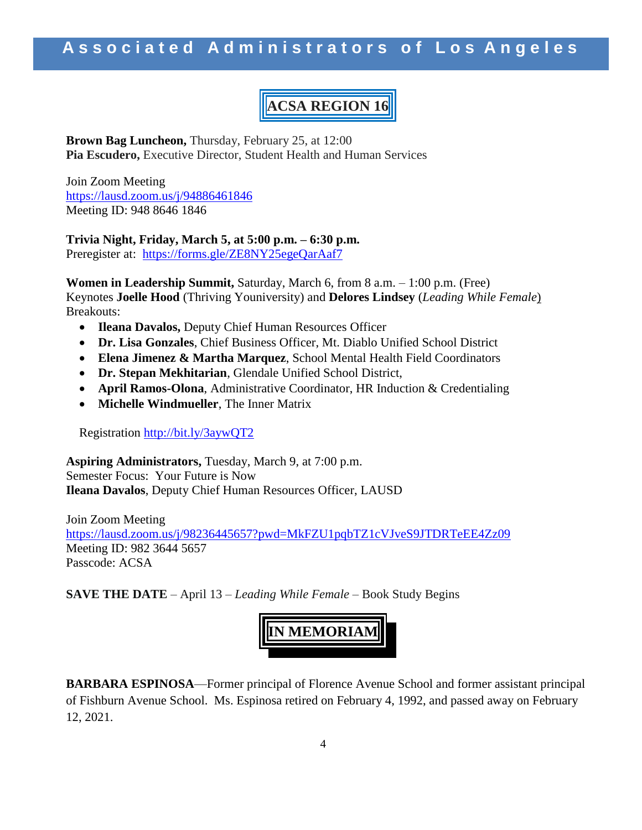# **ACSA REGION 16**

**Brown Bag Luncheon,** Thursday, February 25, at 12:00 **Pia Escudero,** Executive Director, Student Health and Human Services

Join Zoom Meeting <https://lausd.zoom.us/j/94886461846> Meeting ID: 948 8646 1846

**Trivia Night, Friday, March 5, at 5:00 p.m. – 6:30 p.m.** Preregister at: <https://forms.gle/ZE8NY25egeQarAaf7>

**Women in Leadership Summit,** Saturday, March 6, from 8 a.m. – 1:00 p.m. (Free) Keynotes **Joelle Hood** (Thriving Youniversity) and **Delores Lindsey** (*Leading While Female*) Breakouts:

- **Ileana Davalos,** Deputy Chief Human Resources Officer
- **Dr. Lisa Gonzales**, Chief Business Officer, Mt. Diablo Unified School District
- **Elena Jimenez & Martha Marquez**, School Mental Health Field Coordinators
- **Dr. Stepan Mekhitarian**, Glendale Unified School District,
- **April Ramos-Olona**, Administrative Coordinator, HR Induction & Credentialing
- **Michelle Windmueller**, The Inner Matrix

Registration<http://bit.ly/3aywQT2>

**Aspiring Administrators,** Tuesday, March 9, at 7:00 p.m. Semester Focus: Your Future is Now **Ileana Davalos**, Deputy Chief Human Resources Officer, LAUSD

Join Zoom Meeting <https://lausd.zoom.us/j/98236445657?pwd=MkFZU1pqbTZ1cVJveS9JTDRTeEE4Zz09> Meeting ID: 982 3644 5657 Passcode: ACSA

**SAVE THE DATE** – April 13 – *Leading While Female* – Book Study Begins



**BARBARA ESPINOSA**—Former principal of Florence Avenue School and former assistant principal of Fishburn Avenue School. Ms. Espinosa retired on February 4, 1992, and passed away on February 12, 2021.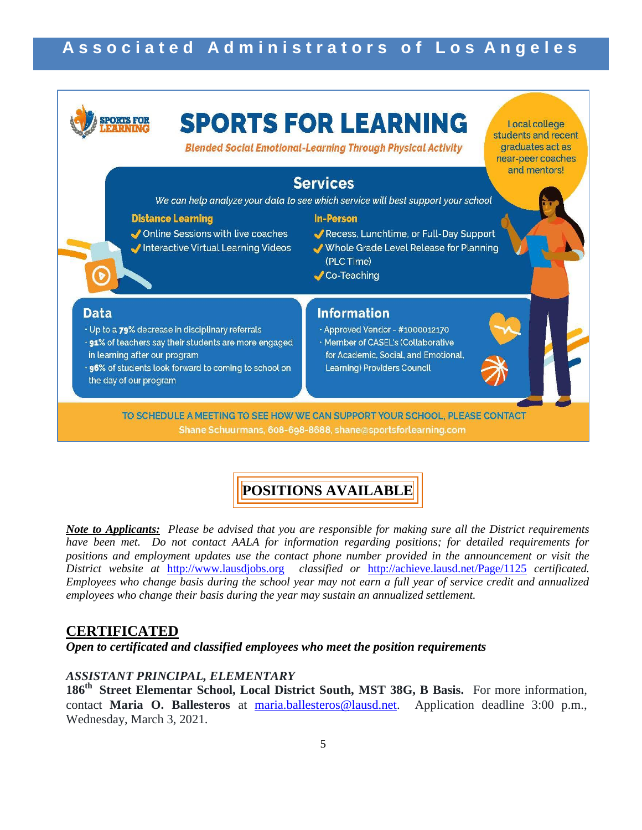

## **POSITIONS AVAILABLE**

*Note to Applicants: Please be advised that you are responsible for making sure all the District requirements have been met. Do not contact AALA for information regarding positions; for detailed requirements for positions and employment updates use the contact phone number provided in the announcement or visit the District website at* [http://www.lausdjobs.org](http://www.lausdjobs.org/) *classified or* <http://achieve.lausd.net/Page/1125> *certificated. Employees who change basis during the school year may not earn a full year of service credit and annualized employees who change their basis during the year may sustain an annualized settlement.* 

### **CERTIFICATED**

*Open to certificated and classified employees who meet the position requirements*

### *ASSISTANT PRINCIPAL, ELEMENTARY*

**186th Street Elementar School, Local District South, MST 38G, B Basis.** For more information, contact **Maria O. Ballesteros** at [maria.ballesteros@lausd.net.](mailto:maria.ballesteros@lausd.net) Application deadline 3:00 p.m., Wednesday, March 3, 2021.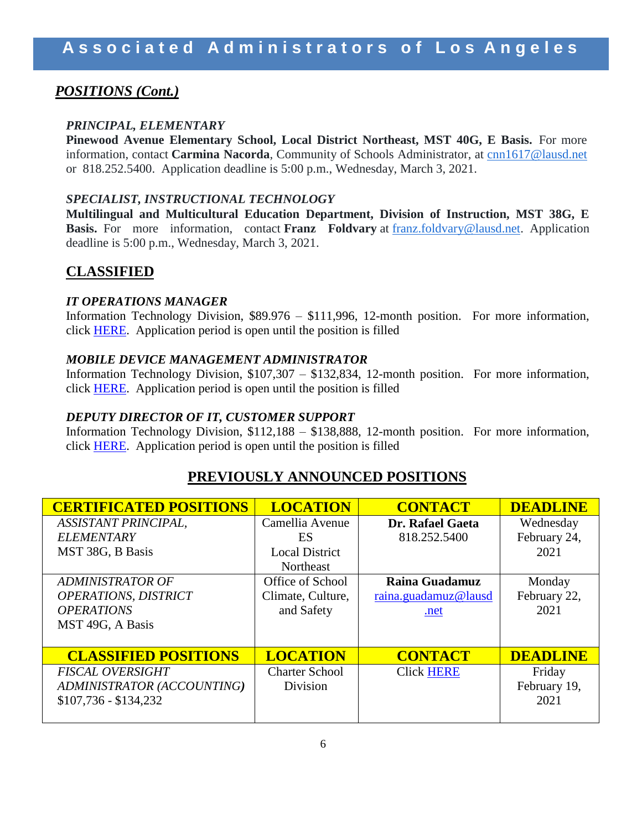## *POSITIONS (Cont.)*

### *PRINCIPAL, ELEMENTARY*

**Pinewood Avenue Elementary School, Local District Northeast, MST 40G, E Basis.** For more information, contact **Carmina Nacorda**, Community of Schools Administrator, at [cnn1617@lausd.net](mailto:cnn1617@lausd.net) or 818.252.5400. Application deadline is 5:00 p.m., Wednesday, March 3, 2021.

### *SPECIALIST, INSTRUCTIONAL TECHNOLOGY*

**Multilingual and Multicultural Education Department, Division of Instruction, MST 38G, E Basis.** For more information, contact **Franz Foldvary** at [franz.foldvary@lausd.net.](mailto:franz.foldvary@lausd.net) Application deadline is 5:00 p.m., Wednesday, March 3, 2021.

## **CLASSIFIED**

### *IT OPERATIONS MANAGER*

Information Technology Division, \$89.976 – \$111,996, 12-month position. For more information, click [HERE.](https://btserec.lausd.net/sap/bc/webdynpro/sap/hrrcf_a_posting_apply_emp?PARAM=cG9zdF9pbnN0X2d1aWQ9MDA1MDU2OTAwMjZFMUVEQjlBODA4QjA1NzhENDVDRUImY2FuZF90eXBlPUlOVA%3d%3d&sap-theme=sap_tradeshow_plus&sap-client=910&sap-language=EN) Application period is open until the position is filled

### *MOBILE DEVICE MANAGEMENT ADMINISTRATOR*

Information Technology Division, \$107,307 – \$132,834, 12-month position. For more information, click [HERE.](https://btserec.lausd.net/sap/bc/webdynpro/sap/hrrcf_a_posting_apply_emp?PARAM=cG9zdF9pbnN0X2d1aWQ9MDA1MDU2OTAwMTJGMUVFQjgwRTgzRTlBNDdFQTkyQTAmY2FuZF90eXBlPUlOVA%3d%3d&sap-theme=sap_tradeshow_plus&sap-client=910&sap-language=EN) Application period is open until the position is filled

### *DEPUTY DIRECTOR OF IT, CUSTOMER SUPPORT*

Information Technology Division, \$112,188 – \$138,888, 12-month position. For more information, click [HERE.](https://btserec.lausd.net/sap/bc/webdynpro/sap/hrrcf_a_posting_apply_emp?PARAM=cG9zdF9pbnN0X2d1aWQ9MDA1MDU2OTAwMjZFMUVEQjlBODAwNkMyMzczMERDQkMmY2FuZF90eXBlPUlOVA%3d%3d&sap-theme=sap_tradeshow_plus&sap-client=910&sap-language=EN) Application period is open until the position is filled

### **PREVIOUSLY ANNOUNCED POSITIONS**

| <b>CERTIFICATED POSITIONS</b> | <b>LOCATION</b>       | <b>CONTACT</b>       | <b>DEADLINE</b> |
|-------------------------------|-----------------------|----------------------|-----------------|
| <b>ASSISTANT PRINCIPAL,</b>   | Camellia Avenue       | Dr. Rafael Gaeta     | Wednesday       |
| <b>ELEMENTARY</b>             | ES                    | 818.252.5400         | February 24,    |
| MST 38G, B Basis              | <b>Local District</b> |                      | 2021            |
|                               | Northeast             |                      |                 |
| <b>ADMINISTRATOR OF</b>       | Office of School      | Raina Guadamuz       | Monday          |
| <b>OPERATIONS, DISTRICT</b>   | Climate, Culture,     | raina.guadamuz@lausd | February 22,    |
| <b>OPERATIONS</b>             | and Safety            | .net                 | 2021            |
| MST 49G, A Basis              |                       |                      |                 |
|                               |                       |                      |                 |
| <b>CLASSIFIED POSITIONS</b>   | <b>LOCATION</b>       | <b>CONTACT</b>       | <b>DEADLINE</b> |
| <b>FISCAL OVERSIGHT</b>       | <b>Charter School</b> | <b>Click HERE</b>    | Friday          |
| ADMINISTRATOR (ACCOUNTING)    | Division              |                      | February 19,    |
| $$107,736 - $134,232$         |                       |                      | 2021            |
|                               |                       |                      |                 |